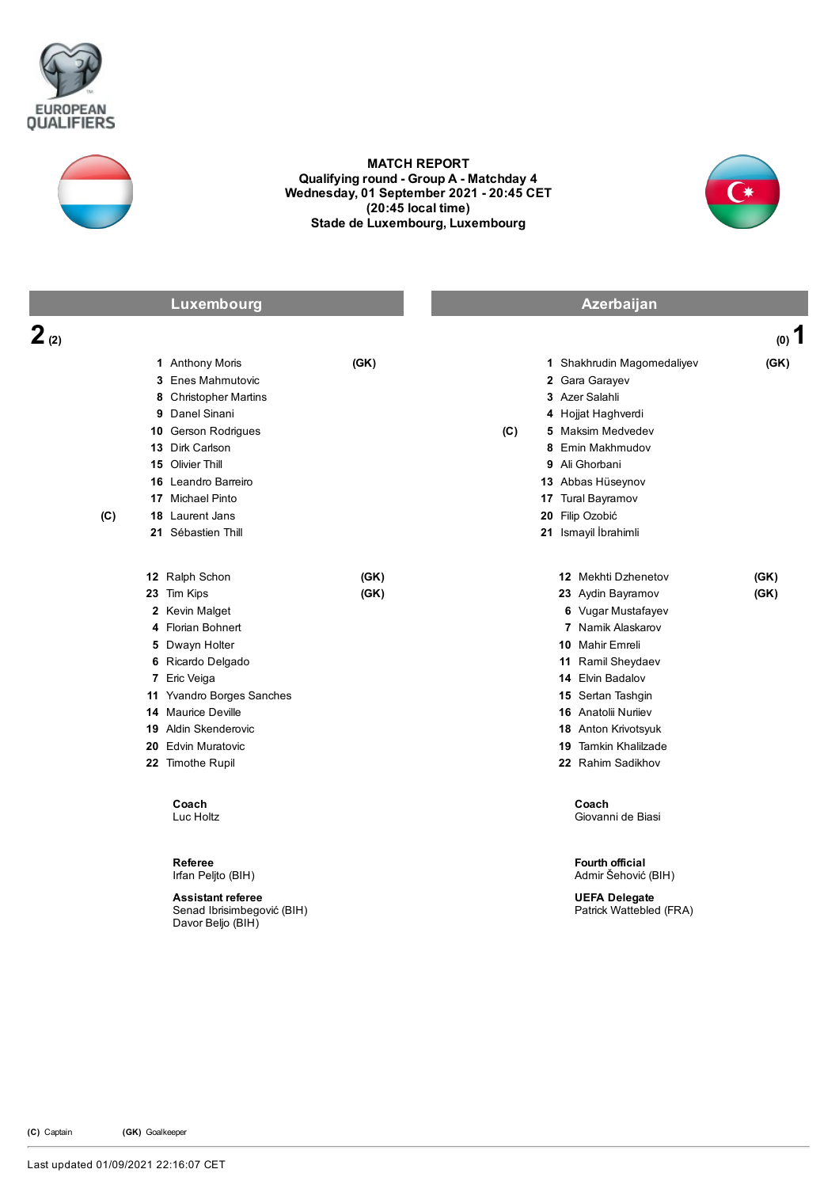



## MATCH REPORT Qualifying round - Group A - Matchday 4 Wednesday, 01 September 2021 20:45 CET (20:45 local time) Stade de Luxembourg, Luxembourg



|           | Luxembourg                                                                                                                                                                                                                                              |              | Azerbaijan |                                                                                                                                                                                                                                                                                      |              |
|-----------|---------------------------------------------------------------------------------------------------------------------------------------------------------------------------------------------------------------------------------------------------------|--------------|------------|--------------------------------------------------------------------------------------------------------------------------------------------------------------------------------------------------------------------------------------------------------------------------------------|--------------|
| $2_{(2)}$ |                                                                                                                                                                                                                                                         |              |            |                                                                                                                                                                                                                                                                                      | $(0)$ 1      |
| (C)       | 1 Anthony Moris<br>3 Enes Mahmutovic<br>8 Christopher Martins<br>9 Danel Sinani<br>10 Gerson Rodrigues<br>13 Dirk Carlson<br>15 Olivier Thill<br>16 Leandro Barreiro<br>17 Michael Pinto<br>18 Laurent Jans<br>21 Sébastien Thill                       | (GK)         | (C)        | 1 Shakhrudin Magomedaliyev<br>2 Gara Garayev<br>3 Azer Salahli<br>4 Hojjat Haghverdi<br>5 Maksim Medvedev<br>8 Emin Makhmudov<br>9 Ali Ghorbani<br>13 Abbas Hüseynov<br>17 Tural Bayramov<br>20 Filip Ozobić<br>21 Ismayil İbrahimli                                                 | (GK)         |
|           | 12 Ralph Schon<br>23 Tim Kips<br>2 Kevin Malget<br>4 Florian Bohnert<br>5 Dwayn Holter<br>6 Ricardo Delgado<br>7 Eric Veiga<br>11 Yvandro Borges Sanches<br>14 Maurice Deville<br><b>19</b> Aldin Skenderovic<br>20 Edvin Muratovic<br>22 Timothe Rupil | (GK)<br>(GK) |            | 12 Mekhti Dzhenetov<br>23 Aydin Bayramov<br>6 Vugar Mustafayev<br>7 Namik Alaskarov<br><b>10 Mahir Emreli</b><br>11 Ramil Sheydaev<br>14 Elvin Badalov<br>15 Sertan Tashgin<br><b>16</b> Anatolii Nurilev<br>18 Anton Krivotsyuk<br><b>19 Tamkin Khalilzade</b><br>22 Rahim Sadikhov | (GK)<br>(GK) |
|           | Coach<br>Luc Holtz<br><b>Referee</b><br>Irfan Peljto (BIH)<br><b>Assistant referee</b><br>Senad Ibrisimbegović (BIH)<br>Davor Beljo (BIH)                                                                                                               |              |            | Coach<br>Giovanni de Biasi<br><b>Fourth official</b><br>Admir Šehović (BIH)<br><b>UEFA Delegate</b><br>Patrick Wattebled (FRA)                                                                                                                                                       |              |